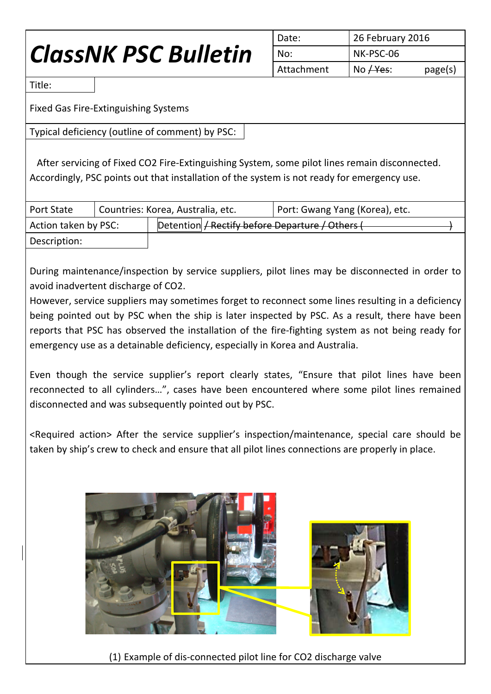## *ClassNK PSC Bulletin*

|  | Date:      | 26 February 2016 |         |
|--|------------|------------------|---------|
|  | No:        | NK-PSC-06        |         |
|  | Attachment | No $Hes$ :       | page(s) |

Title:

Fixed Gas Fire-Extinguishing Systems

Typical deficiency (outline of comment) by PSC:

After servicing of Fixed CO2 Fire-Extinguishing System, some pilot lines remain disconnected. Accordingly, PSC points out that installation of the system is not ready for emergency use.

| <b>Port State</b>    | Countries: Korea, Australia, etc.               | Port: Gwang Yang (Korea), etc. |  |
|----------------------|-------------------------------------------------|--------------------------------|--|
| Action taken by PSC: | Detention / Rectify before Departure / Others ( |                                |  |
| Description:         |                                                 |                                |  |

During maintenance/inspection by service suppliers, pilot lines may be disconnected in order to avoid inadvertent discharge of CO2.

However, service suppliers may sometimes forget to reconnect some lines resulting in a deficiency being pointed out by PSC when the ship is later inspected by PSC. As a result, there have been reports that PSC has observed the installation of the fire-fighting system as not being ready for emergency use as a detainable deficiency, especially in Korea and Australia.

Even though the service supplier's report clearly states, "Ensure that pilot lines have been reconnected to all cylinders…", cases have been encountered where some pilot lines remained disconnected and was subsequently pointed out by PSC.

<Required action> After the service supplier's inspection/maintenance, special care should be taken by ship's crew to check and ensure that all pilot lines connections are properly in place.



(1) Example of dis-connected pilot line for CO2 discharge valve